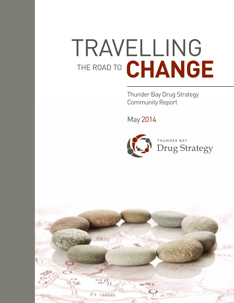# Travelling the Road to **CHANGE**

Thunder Bay Drug Strategy Community Report

May 2014



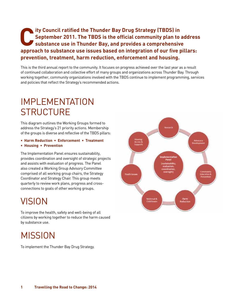### **City Council ratified the Thunder Bay Drug Strategy (TBDS) in September 2011. The TBDS is the official community plan to address substance use in Thunder Bay, and provides a comprehensive approach to substance use issues based on integration of our five pillars: prevention, treatment, harm reduction, enforcement and housing.**

This is the third annual report to the community. It focuses on progress achieved over the last year as a result of continued collaboration and collective effort of many groups and organizations across Thunder Bay. Through working together, community organizations involved with the TBDS continue to implement programming, services and policies that reflect the Strategy's recommended actions.

### **IMPLEMENTATION STRUCTURE**

This diagram outlines the Working Groups formed to address the Strategy's 21 priority actions. Membership of the groups is diverse and reflective of the TBDS pillars:

- **Harm Reduction Enforcement Treatment**
- **Housing Prevention**

The Implementation Panel ensures sustainability, provides coordination and oversight of strategic projects and assists with evaluation of progress. The Panel also created a Working Group Advisory Committee comprised of all working group chairs, the Strategy Coordinator and Strategy Chair. This group meets quarterly to review work plans, progress and crossconnections to goals of other working groups.

### VISION

To improve the health, safety and well-being of all citizens by working together to reduce the harm caused by substance use.

### **MISSION**

To implement the Thunder Bay Drug Strategy.

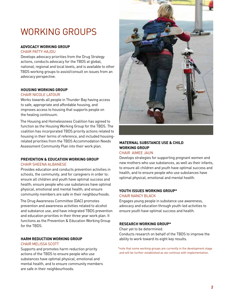### Working Groups

#### **Advocacy Working Group**  Chair Patty Hajdu

Develops advocacy priorities from the Drug Strategy actions, conducts advocacy for the TBDS at global, national, regional and local levels, and is available to other TBDS working groups to assist/consult on issues from an advocacy perspective.

#### **Housing Working Group**

#### CHAIR NICOLE LATOUR

Works towards all people in Thunder Bay having access to safe, appropriate and affordable housing, and improves access to housing that supports people on the healing continuum.

The Housing and Homelessness Coalition has agreed to function as the Housing Working Group for the TBDS. The coalition has incorporated TBDS priority actions related to housing in their terms of reference, and included housingrelated priorities from the TBDS Accommodation Needs Assessment Community Plan into their work plan.

#### **Prevention & Education Working Group**  Chair Sheena Albanese

Provides education and conducts prevention activities in schools, the community, and for caregivers in order to: ensure all children and youth have optimal success and health; ensure people who use substances have optimal physical, emotional and mental health; and ensure community members are safe in their neighbourhoods.

The Drug Awareness Committee (DAC) promotes prevention and awareness activities related to alcohol and substance use, and have integrated TBDS prevention and education priorities in their three year work plan. It functions as the Prevention & Education Working Group for the TBDS.

#### **Harm Reduction Working Group**

#### Chair Melissa Scott

Supports and promotes harm reduction priority actions of the TBDS to ensure people who use substances have optimal physical, emotional and mental health, and to ensure community members are safe in their neighbourhoods.



#### **Maternal Substance Use & Child Working Group** Chair Aimee JaUn

Develops strategies for supporting pregnant women and new mothers who use substances, as well as their infants, to ensure all children and youth have optimal success and health, and to ensure people who use substances have optimal physical, emotional and mental health.

#### **Youth Issues Working Group\*** Chair Nancy Black

Engages young people in substance use awareness, advocacy and education through youth-led activities to ensure youth have optimal success and health.

#### **Research Working Group\***

Chair yet to be determined.

Conducts research on behalf of the TBDS to improve the ability to work toward its eight key results.

\*note that some working groups are currently in the development stage and will be further established as we continue with implementation.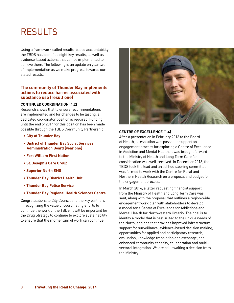### RESULTS

Using a framework called results-based accountability, the TBDS has identified eight key results, as well as evidence-based actions that can be implemented to achieve them. The following is an update on year two of implementation as we make progress towards our stated results.

#### **The community of Thunder Bay implements actions to reduce harms associated with substance use (result one)**

#### **Continued Coordination (1.2)**

Research shows that to ensure recommendations are implemented and for changes to be lasting, a dedicated coordinator position is required. Funding until the end of 2014 for this position has been made possible through the TBDS Community Partnership:

- **• City of Thunder Bay**
- **• District of Thunder Bay Social Services Administration Board (year one)**
- **• Fort William First Nation**
- **• St. Joseph's Care Group**
- **• Superior North EMS**
- **• Thunder Bay District Health Unit**
- **• Thunder Bay Police Service**
- **• Thunder Bay Regional Health Sciences Centre**

Congratulations to City Council and the key partners in recognizing the value of coordinating efforts to continue the work of the TBDS. It will be important for the Drug Strategy to continue to explore sustainability to ensure that the momentum of work can continue.



#### **Centre of Excellence (1.4)**

After a presentation in February 2013 to the Board of Health, a resolution was passed to support an engagement process for exploring a Centre of Excellence in Addiction and Mental Health. It was brought forward to the Ministry of Health and Long Term Care for consideration was well-received. In December 2013, the TBDS took the lead and an ad-hoc steering committee was formed to work with the Centre for Rural and Northern Health Research on a proposal and budget for the engagement process.

In March 2014, a letter requesting financial support from the Ministry of Health and Long Term Care was sent, along with the proposal that outlines a region-wide engagement work plan with stakeholders to develop a model for a Centre of Excellence for Addictions and Mental Health for Northwestern Ontario. The goal is to identify a model that is best suited to the unique needs of the North, and one that provides improved infrastructure, support for surveillance, evidence-based decision making, opportunities for applied and participatory research, evaluation, knowledge translation and exchange, and enhanced community capacity, collaboration and multisectoral integration. We are still awaiting a decision from the Ministry.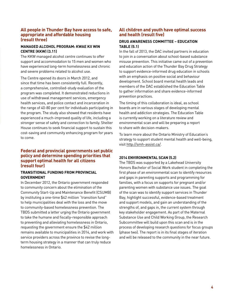#### **All people in Thunder Bay have access to safe, appropriate and affordable housing (result three)**

#### **Managed Alcohol Program: Kwae Kii Win Centre (KKW) (3.11)**

The KKW managed alcohol centre continues to offer support and accommodation to 15 men and women who have experienced long-term homelessness and chronic and severe problems related to alcohol use.

The Centre opened its doors in March 2012, and since that time has been consistently full. Recently, a comprehensive, controlled-study evaluation of the program was completed. It demonstrated reductions in use of withdrawal management services, emergency health services, and police contact and incarceration in the range of 40-80 per cent for individuals participating in the program. The study also showed that residents have experienced a much-improved quality of life, including a stronger sense of safety and connection to family. Shelter House continues to seek financial support to sustain this cost-saving and community enhancing program for years to come.

#### **Federal and provincial governments set public policy and determine spending priorities that support optimal health for all citizens (result four)**

#### **Transitional Funding from Provincial Government**

In December 2012, the Ontario government responded to community concern about the elimination of the Community Start-Up and Maintenance Benefit (CSUMB) by instituting a one-time \$42 million "transition fund" to help municipalities deal with the loss and the move to community-based homelessness prevention. The TBDS submitted a letter urging the Ontario government to take the humane and fiscally-responsible approach to preventing and alleviating homelessness in Ontario, requesting the government ensure the \$42 million remains available to municipalities in 2014, and work with service providers across the province to revise the longterm housing strategy in a manner that can truly reduce homelessness in Ontario.

#### **All children and youth have optimal success and health (result five)**

#### **Drug Awareness Committee – Education Table (5.1)**

In the fall of 2013, the DAC invited partners in education to join in a conversation about school-based substance misuse prevention. This initiative came out of a prevention and education action of the Thunder Bay Drug Strategy to support evidence-informed drug education in schools with an emphasis on positive social and behaviour development. School board mental health leads and members of the DAC established the Education Table to gather information and share evidence-informed prevention practices.

The timing of this collaboration is ideal, as school boards are in various stages of developing mental health and addiction strategies. The Education Table is currently working on a literature review and environmental scan and will be preparing a report to share with decision-makers.

To learn more about the Ontario Ministry of Education's strategy to support student mental health and well-being, visit http://smh-assist.ca/.

#### **2014 Environmental Scan (5.2)**

The TBDS was supported by a Lakehead University Honors Bachelor of Social Work student in completing the first phase of an environmental scan to identify resources and gaps in parenting supports and programming for families, with a focus on supports for pregnant and/or parenting women with substance use issues. The goal of the scan was to identify support services in Thunder Bay, highlight successful, evidence-based treatment and support models, and gain an understanding of the strengths of, and gaps in, the current system through key stakeholder engagement. As part of the Maternal Substance Use and Child Working Group, the Research Subcommittee will build upon this scan and is in the process of developing research questions for focus groups (phase two). The report is in its final stages of iteration and will be released to the community in the near future.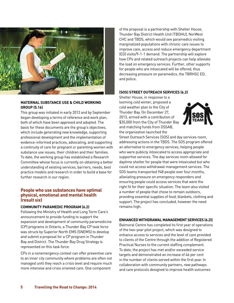

#### **Maternal Substance Use & Child Working Group (5.16)**

This group was initiated in early 2013 and by September began developing a terms of reference and work plan, both of which have been approved and adopted. The basis for these documents are the group's objectives, which include generating new knowledge, supporting professional development and the implementation of evidence-informed practices, advocating, and supporting a continuity of care for pregnant or parenting women with substance use issues, their children and their families. To date, the working group has established a Research Committee whose focus is currently on obtaining a better understanding of existing services, barriers, needs, best practice models and research in order to build a base for further research in our region.

#### **People who use substances have optimal physical, emotional and mental health (result six)**

#### **Community Paramedic Program (6.2)**

Following the Ministry of Health and Long Term Care's announcement to provide funding to support the expansion and development of community paramedicine (CP) programs in Ontario, a Thunder Bay CP task force was struck by Superior North EMS (SNEMS) to develop and submit a proposal for a CP program in Thunder Bay and District. The Thunder Bay Drug Strategy is represented on this task force.

CPs in a nonemergency context can offer preventive care to an inner city community where problems are often not managed until they reach a crisis level and require much more intensive and crisis oriented care. One component

of the proposal is a partnership with Shelter House, Thunder Bay District Health Unit (TBDHU), NorWest CHC and TBDS, which would see paramedics visiting marginalized populations with chronic care issues to improve care, access and reduce emergency department (ED) visits/9-1-1 demand. The partnership will explore how CPs and related outreach projects can help alleviate the load on emergency services. Further, other supports for people who are intoxicated will be offered, thus decreasing pressure on paramedics, the TBRHSC ED, and police.

#### **(SOS) Street Outreach Services (6.2)**

Shelter House, in response to a looming cold winter, proposed a cold weather plan to the City of Thunder Bay. On December 27, 2013, armed with a contribution of \$35,000 from the City of Thunder Bay and matching funds from DSSAB, the organization launched the



Street Outreach Services (SOS) and day services room, addressing actions in the TBDS. The SOS program offered an alternative to emergency services, helping people who were publicly intoxicated to access appropriate and supportive services. The day services room allowed for daytime shelter for people that were intoxicated but who could not access withdrawal management services. The SOS teams transported 948 people over four months, alleviating pressure on emergency responders and ensuring people could access services that were the right fit for their specific situation. The team also visited a number of people that chose to remain outdoors, providing essential supplies of food, blankets, clothing and support. The project has concluded, however the need remains high.

#### **Enhanced Withdrawal Management Services (6.2)|**

Balmoral Centre has completed its first year of operations of the two-year pilot project, which was designed to enhance access to services and the level of care provided to clients of the Centre through the addition of Registered Practical Nurses to the current staffing complement. To date, the project has met and/or exceeded service targets and demonstrated an increase of 46 per cent in the number of clients served within the first year. In collaboration with community partners, new pathways and care protocols designed to improve health outcomes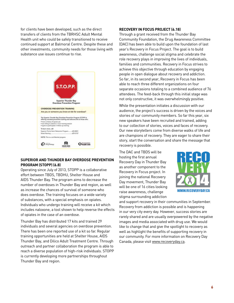for clients have been developed, such as the direct transfers of clients from the TBRHSC Adult Mental Health unit who could be safely transitioned to receive continued support at Balmoral Centre. Despite these and other investments, community needs for those living with substance use issues continue to rise.



#### **Superior and Thunder Bay Overdose Prevention Program (STOPP) (6.8)**

Operating since July of 2013, STOPP is a collaborative effort between TBDS, TBDHU, Shelter House and AIDS Thunder Bay. The program aims to decrease the number of overdoses in Thunder Bay and region, as well as increase the chances of survival of someone who does overdose. The training focuses on a wide variety of substances, with a special emphasis on opiates. Individuals who undergo training will receive a kit which includes naloxone, a tool shown to help reverse the effects of opiates in the case of an overdose.

Thunder Bay has distributed 17 kits and trained 29 individuals and several agencies on overdose prevention. There has been one reported use of a kit so far. Regular training opportunities are held at Shelter House, AIDS Thunder Bay, and Dilico Adult Treatment Centre. Through outreach and partner collaboration the program is able to reach a diverse population of high-risk individuals. STOPP is currently developing more partnerships throughout Thunder Bay and region.

#### **Recovery in Focus Project (6.18)**

Through a grant received from the Thunder Bay Community Foundation, the Drug Awareness Committee (DAC) has been able to build upon the foundation of last year's Recovery in Focus Project. The goal is to build awareness, challenge social stigma and celebrate the role recovery plays in improving the lives of individuals, families and communities. Recovery in Focus strives to achieve this objective through education by engaging people in open dialogue about recovery and addiction. So far, in its second year, Recovery in Focus has been able to reach three different organizations on four separate occasions totaling to a combined audience of 76 attendees. The feed-back through this initial stage was not only constructive, it was overwhelmingly positive.

While the presentation initiates a discussion with our audience, the project's success is driven by the voices and stories of our community members. So far this year, six new speakers have been recruited and trained, adding to our collection of stories, voices and faces of recovery. Our new storytellers come from diverse walks of life and are champions of recovery. They are eager to share their story, start the conversation and share the message that recovery is possible.

The DAC and TBDS will be hosting the first annual Recovery Day in Thunder Bay as another component to the Recovery in Focus project. In joining the national Recovery Day movement, Thunder Bay will be one of 16 cities looking raise awareness, challenge stigma surrounding addiction



and support recovery in their communities in September. Recovery from addiction is possible and is happening in our very city every day. However, success stories are rarely shared and are usually overpowered by the negative images and media associated with drug use. We would like to change that and give the spotlight to recovery as well as highlight the benefits of supporting recovery in our community. For more information on Recovery Day Canada, please visit www.recoveryday.ca.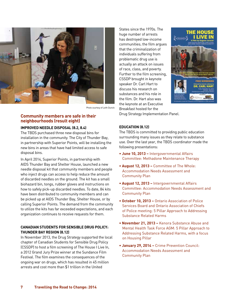

Photo courtesy of Leith Dunick

#### **Community members are safe in their neighbourhoods (result eight)**

#### **Improved Needle Disposal (8.2, 8.4)**

The TBDS purchased three new disposal bins for installation in the community. The City of Thunder Bay, in partnership with Superior Points, will be installing the new bins in areas that have had limited access to safe disposal bins.

In April 2014, Superior Points, in partnership with AIDS Thunder Bay and Shelter House, launched a new needle disposal kit that community members and people who inject drugs can access to help reduce the amount of discarded needles on the ground. The kit has a small biohazard bin, tongs, rubber gloves and instructions on how to safely pick-up discarded needles. To date, 84 kits have been distributed to community members and can be picked up at AIDS Thunder Bay, Shelter House, or by calling Superior Points. The demand from the community to utilize the kits has far exceeded expectations, and each organization continues to receive requests for them.

#### **Canadian Students for Sensible Drug Policy: Thunder Bay Region (8.12)**

In November 2013, the Drug Strategy supported the local chapter of Canadian Students for Sensible Drug Policy (CSSDP) to host a film screening of The House I Live In, a 2012 Grand Jury Prize winner at the Sundance Film Festival. The film examines the consequences of the ongoing war on drugs, which has resulted in 45 million arrests and cost more than \$1 trillion in the United

States since the 1970s. The huge number of arrests has destroyed low-income communities; the film argues that the criminalization of individuals suffering from problematic drug use is actually an attack on issues of race, class, and poverty. Further to the film screening, CSSDP brought in keynote speaker Dr. Carl Hart to discuss his research on substances and his role in the film. Dr. Hart also was the keynote at an Executive Breakfast hosted for the



Drug Strategy Implementation Panel.

#### **Education (8.12)**

The TBDS is committed to providing public education surrounding many issues as they relate to substance use. Over the last year, the TBDS coordinator made the following presentations:

- **• June 10, 2013 –** Intergovernmental Affairs Committee: Methadone Maintenance Therapy
- **• August 12, 2013 –** Committee of The Whole: Accommodation Needs Assessment and Community Plan
- **• August 12, 2013 –** Intergovernmental Affairs Committee: Accommodation Needs Assessment and Community Plan
- **October 10, 2013 –** Ontario Association of Police Services Board and Ontario Association of Chiefs of Police meeting: 5 Pillar Approach to Addressing Substance Related Harms
- **• November 21, 2013 –** Kenora Substance Abuse and Mental Health Task Force AGM: 5 Pillar Approach to Addressing Substance Related Harms, with a focus on Housing Pillar
- **• January 29, 2014 –** Crime Prevention Council: Accommodation Needs Assessment and Community Plan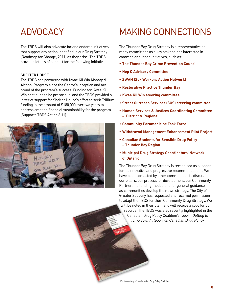The TBDS will also advocate for and endorse initiatives that support any action identified in our Drug Strategy (Roadmap for Change, 2011) as they arise. The TBDS provided letters of support for the following initiatives:

#### **Shelter House**

The TBDS has partnered with Kwae Kii Win Managed Alcohol Program since the Centre's inception and are proud of the program's success. Funding for Kwae Kii Win continues to be precarious, and the TBDS provided a letter of support for Shelter House's effort to seek Trillium funding in the amount of \$180,000 over two years to address creating financial sustainability for the program. (Supports TBDS Action 3.11)



## ADVOCACY MAKING CONNECTIONS

The Thunder Bay Drug Strategy is a representative on many committees as a key stakeholder interested in common or aligned initiatives, such as:

- **• The Thunder Bay Crime Prevention Council**
- **• Hep C Advisory Committee**
- **• SWAN (Sex Workers Action Network)**
- **• Restorative Practice Thunder Bay**
- **• Kwae Kii Win steering committee**
- **• Street Outreach Services (SOS) steering committee**
- **• Human Services & Justices Coordinating Committee – District & Regional**
- **• Community Paramedicine Task Force**
- **• Withdrawal Management Enhancement Pilot Project**
- **• Canadian Students for Sensible Drug Policy – Thunder Bay Region**
- **• Municipal Drug Strategy Coordinators' Network of Ontario**

The Thunder Bay Drug Strategy is recognized as a leader for its innovative and progressive recommendations. We have been contacted by other communities to discuss our pillars, our process for development, our Community Partnership funding model, and for general guidance as communities develop their own strategy. The City of Greater Sudbury has requested and received permission to adapt the TBDS for their Community Drug Strategy. We will be noted in their plan, and will receive a copy for our records. The TBDS was also recently highlighted in the Canadian Drug Policy Coalition's report, Getting to Tomorrow: A Report on Canadian Drug Policy.

Photo courtesy of the Canadian Drug Policy Coalition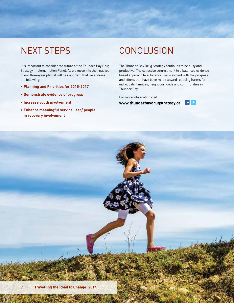### Next Steps

It is important to consider the future of the Thunder Bay Drug Strategy Implementation Panel. As we move into the final year of our three-year plan, it will be important that we address the following:

- **• Planning and Priorities for 2015-2017**
- **• Demonstrate evidence of progress**
- **• Increase youth involvement**
- **• Enhance meaningful service user/ people in recovery involvement**

### **CONCLUSION**

The Thunder Bay Drug Strategy continues to be busy and productive. The collective commitment to a balanced evidencebased approach to substance use is evident with the progress and efforts that have been made toward reducing harms for individuals, families, neighbourhoods and communities in Thunder Bay.

For more information visit:

 $|f|$   $\rightarrow$ **www.thunderbaydrugstrategy.ca**

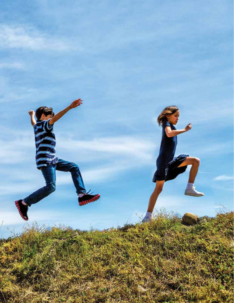